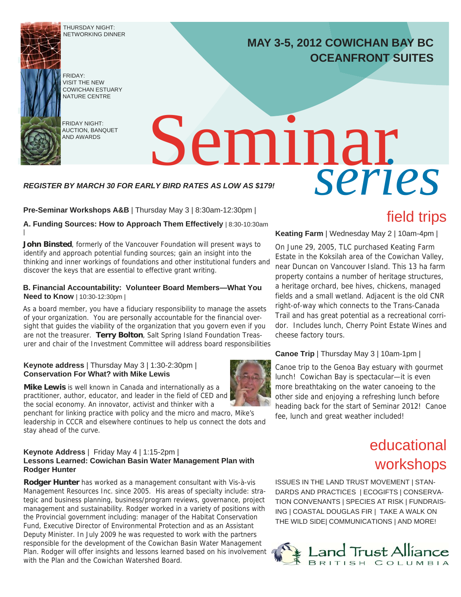

THURSDAY NIGHT: NETWORKING DINNER

# **MAY 3-5, 2012 COWICHAN BAY BC OCEANFRONT SUITES**

FRIDAY: VISIT THE NEW COWICHAN ESTUARY NATURE CENTRE

FRIDAY NIGHT: AUCTION, BANQUET AND AWARDS

# Seminar *Series*

# *REGISTER BY MARCH 30 FOR EARLY BIRD RATES AS LOW AS \$179!*

**Pre-Seminar Workshops A&B** | Thursday May 3 | 8:30am-12:30pm |

**A. Funding Sources: How to Approach Them Effectively** | 8:30-10:30am |

**John Binsted**, formerly of the Vancouver Foundation will present ways to identify and approach potential funding sources; gain an insight into the thinking and inner workings of foundations and other institutional funders and discover the keys that are essential to effective grant writing.

### **B. Financial Accountability: Volunteer Board Members—What You Need to Know** | 10:30-12:30pm |

As a board member, you have a fiduciary responsibility to manage the assets of your organization. You are personally accountable for the financial oversight that guides the viability of the organization that you govern even if you are not the treasurer. **Terry Bolton**, Salt Spring Island Foundation Treasurer and chair of the Investment Committee will address board responsibilities

### **Keynote address** | Thursday May 3 | 1:30-2:30pm | **Conservation For What? with Mike Lewis**

**Mike Lewis** is well known in Canada and internationally as a practitioner, author, educator, and leader in the field of CED and the social economy. An innovator, activist and thinker with a

penchant for linking practice with policy and the micro and macro, Mike's leadership in CCCR and elsewhere continues to help us connect the dots and stay ahead of the curve.

### **Keynote Address** | Friday May 4 | 1:15-2pm | **Lessons Learned: Cowichan Basin Water Management Plan with Rodger Hunter**

**Rodger Hunter** has worked as a management consultant with Vis-à-vis Management Resources Inc. since 2005. His areas of specialty include: strategic and business planning, business/program reviews, governance, project management and sustainability. Rodger worked in a variety of positions with the Provincial government including: manager of the Habitat Conservation Fund, Executive Director of Environmental Protection and as an Assistant Deputy Minister. In July 2009 he was requested to work with the partners responsible for the development of the Cowichan Basin Water Management Plan. Rodger will offer insights and lessons learned based on his involvement with the Plan and the Cowichan Watershed Board.



# field trips

**Keating Farm** | Wednesday May 2 | 10am-4pm |

On June 29, 2005, TLC purchased Keating Farm Estate in the Koksilah area of the Cowichan Valley, near Duncan on Vancouver Island. This 13 ha farm property contains a number of heritage structures, a heritage orchard, bee hives, chickens, managed fields and a small wetland. Adjacent is the old CNR right-of-way which connects to the Trans-Canada Trail and has great potential as a recreational corridor. Includes lunch, Cherry Point Estate Wines and cheese factory tours.

## **Canoe Trip** | Thursday May 3 | 10am-1pm |

Canoe trip to the Genoa Bay estuary with gourmet lunch! Cowichan Bay is spectacular—it is even more breathtaking on the water canoeing to the other side and enjoying a refreshing lunch before heading back for the start of Seminar 2012! Canoe fee, lunch and great weather included!

# educational workshops

ISSUES IN THE LAND TRUST MOVEMENT | STAN-DARDS AND PRACTICES | ECOGIFTS | CONSERVA-TION CONVENANTS | SPECIES AT RISK | FUNDRAIS-ING | COASTAL DOUGLAS FIR | TAKE A WALK ON THE WILD SIDE| COMMUNICATIONS | AND MORE!